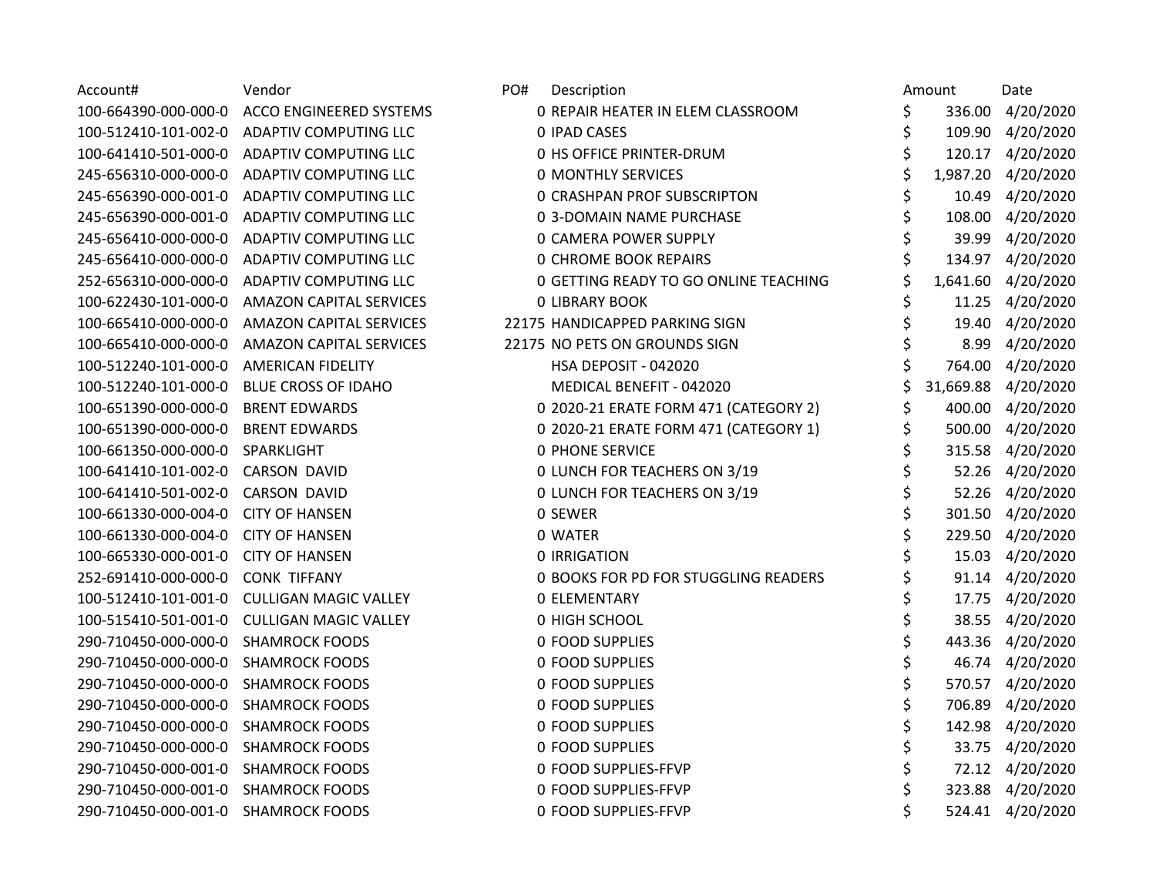| Account#             | Vendor                         | PO#<br>Description                    | Amount | Date                |
|----------------------|--------------------------------|---------------------------------------|--------|---------------------|
| 100-664390-000-000-0 | ACCO ENGINEERED SYSTEMS        | 0 REPAIR HEATER IN ELEM CLASSROOM     | \$     | 336.00 4/20/2020    |
| 100-512410-101-002-0 | ADAPTIV COMPUTING LLC          | <b>0 IPAD CASES</b>                   | \$     | 109.90 4/20/2020    |
| 100-641410-501-000-0 | ADAPTIV COMPUTING LLC          | <b>0 HS OFFICE PRINTER-DRUM</b>       |        | 120.17 4/20/2020    |
| 245-656310-000-000-0 | ADAPTIV COMPUTING LLC          | <b>0 MONTHLY SERVICES</b>             |        | 1,987.20 4/20/2020  |
| 245-656390-000-001-0 | ADAPTIV COMPUTING LLC          | <b>0 CRASHPAN PROF SUBSCRIPTON</b>    |        | 10.49 4/20/2020     |
| 245-656390-000-001-0 | ADAPTIV COMPUTING LLC          | 0 3-DOMAIN NAME PURCHASE              |        | 108.00 4/20/2020    |
| 245-656410-000-000-0 | ADAPTIV COMPUTING LLC          | <b>0 CAMERA POWER SUPPLY</b>          |        | 39.99 4/20/2020     |
| 245-656410-000-000-0 | ADAPTIV COMPUTING LLC          | <b>0 CHROME BOOK REPAIRS</b>          |        | 134.97 4/20/2020    |
| 252-656310-000-000-0 | ADAPTIV COMPUTING LLC          | 0 GETTING READY TO GO ONLINE TEACHING |        | 1,641.60 4/20/2020  |
| 100-622430-101-000-0 | <b>AMAZON CAPITAL SERVICES</b> | <b>0 LIBRARY BOOK</b>                 |        | 11.25 4/20/2020     |
| 100-665410-000-000-0 | <b>AMAZON CAPITAL SERVICES</b> | 22175 HANDICAPPED PARKING SIGN        |        | 19.40 4/20/2020     |
| 100-665410-000-000-0 | <b>AMAZON CAPITAL SERVICES</b> | 22175 NO PETS ON GROUNDS SIGN         |        | 8.99 4/20/2020      |
| 100-512240-101-000-0 | <b>AMERICAN FIDELITY</b>       | HSA DEPOSIT - 042020                  |        | 764.00 4/20/2020    |
| 100-512240-101-000-0 | <b>BLUE CROSS OF IDAHO</b>     | MEDICAL BENEFIT - 042020              |        | 31,669.88 4/20/2020 |
| 100-651390-000-000-0 | <b>BRENT EDWARDS</b>           | 0 2020-21 ERATE FORM 471 (CATEGORY 2) |        | 400.00 4/20/2020    |
| 100-651390-000-000-0 | <b>BRENT EDWARDS</b>           | 0 2020-21 ERATE FORM 471 (CATEGORY 1) |        | 500.00 4/20/2020    |
| 100-661350-000-000-0 | SPARKLIGHT                     | <b>0 PHONE SERVICE</b>                |        | 315.58 4/20/2020    |
| 100-641410-101-002-0 | <b>CARSON DAVID</b>            | 0 LUNCH FOR TEACHERS ON 3/19          |        | 52.26 4/20/2020     |
| 100-641410-501-002-0 | <b>CARSON DAVID</b>            | 0 LUNCH FOR TEACHERS ON 3/19          |        | 52.26 4/20/2020     |
| 100-661330-000-004-0 | <b>CITY OF HANSEN</b>          | 0 SEWER                               |        | 301.50 4/20/2020    |
| 100-661330-000-004-0 | <b>CITY OF HANSEN</b>          | 0 WATER                               |        | 229.50 4/20/2020    |
| 100-665330-000-001-0 | <b>CITY OF HANSEN</b>          | <b>0 IRRIGATION</b>                   |        | 15.03 4/20/2020     |
| 252-691410-000-000-0 | <b>CONK TIFFANY</b>            | 0 BOOKS FOR PD FOR STUGGLING READERS  |        | 91.14 4/20/2020     |
| 100-512410-101-001-0 | <b>CULLIGAN MAGIC VALLEY</b>   | <b>0 ELEMENTARY</b>                   |        | 17.75 4/20/2020     |
| 100-515410-501-001-0 | <b>CULLIGAN MAGIC VALLEY</b>   | 0 HIGH SCHOOL                         |        | 38.55 4/20/2020     |
| 290-710450-000-000-0 | <b>SHAMROCK FOODS</b>          | <b>0 FOOD SUPPLIES</b>                |        | 443.36 4/20/2020    |
| 290-710450-000-000-0 | <b>SHAMROCK FOODS</b>          | 0 FOOD SUPPLIES                       |        | 46.74 4/20/2020     |
| 290-710450-000-000-0 | <b>SHAMROCK FOODS</b>          | <b>0 FOOD SUPPLIES</b>                | \$     | 570.57 4/20/2020    |
| 290-710450-000-000-0 | <b>SHAMROCK FOODS</b>          | 0 FOOD SUPPLIES                       | 706.89 | 4/20/2020           |
| 290-710450-000-000-0 | <b>SHAMROCK FOODS</b>          | <b>0 FOOD SUPPLIES</b>                |        | 142.98 4/20/2020    |
| 290-710450-000-000-0 | <b>SHAMROCK FOODS</b>          | <b>0 FOOD SUPPLIES</b>                |        | 33.75 4/20/2020     |
| 290-710450-000-001-0 | <b>SHAMROCK FOODS</b>          | 0 FOOD SUPPLIES-FFVP                  |        | 72.12 4/20/2020     |
| 290-710450-000-001-0 | <b>SHAMROCK FOODS</b>          | 0 FOOD SUPPLIES-FFVP                  |        | 323.88 4/20/2020    |
| 290-710450-000-001-0 | <b>SHAMROCK FOODS</b>          | 0 FOOD SUPPLIES-FFVP                  |        | 524.41 4/20/2020    |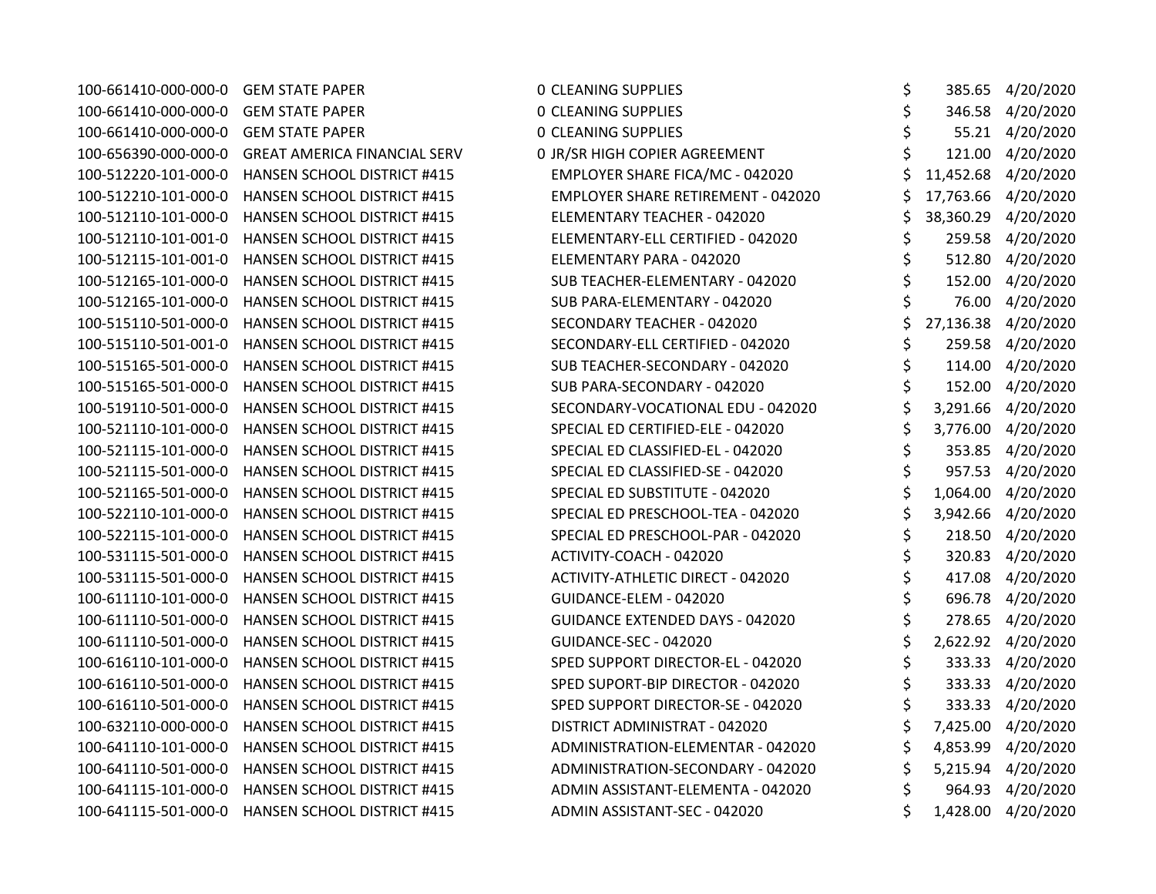| 100-661410-000-000-0 | <b>GEM STATE PAPER</b>              | <b>0 CLEANING SUPPLIES</b>                | \$ |           | 385.65 4/20/2020    |
|----------------------|-------------------------------------|-------------------------------------------|----|-----------|---------------------|
| 100-661410-000-000-0 | <b>GEM STATE PAPER</b>              | <b>0 CLEANING SUPPLIES</b>                | \$ |           | 346.58 4/20/2020    |
| 100-661410-000-000-0 | <b>GEM STATE PAPER</b>              | <b>0 CLEANING SUPPLIES</b>                | \$ |           | 55.21 4/20/2020     |
| 100-656390-000-000-0 | <b>GREAT AMERICA FINANCIAL SERV</b> | 0 JR/SR HIGH COPIER AGREEMENT             | \$ |           | 121.00 4/20/2020    |
| 100-512220-101-000-0 | <b>HANSEN SCHOOL DISTRICT #415</b>  | EMPLOYER SHARE FICA/MC - 042020           | \$ | 11,452.68 | 4/20/2020           |
| 100-512210-101-000-0 | <b>HANSEN SCHOOL DISTRICT #415</b>  | <b>EMPLOYER SHARE RETIREMENT - 042020</b> | Ś  |           | 17,763.66 4/20/2020 |
| 100-512110-101-000-0 | <b>HANSEN SCHOOL DISTRICT #415</b>  | ELEMENTARY TEACHER - 042020               | \$ |           | 38,360.29 4/20/2020 |
| 100-512110-101-001-0 | <b>HANSEN SCHOOL DISTRICT #415</b>  | ELEMENTARY-ELL CERTIFIED - 042020         | \$ |           | 259.58 4/20/2020    |
| 100-512115-101-001-0 | <b>HANSEN SCHOOL DISTRICT #415</b>  | ELEMENTARY PARA - 042020                  | \$ |           | 512.80 4/20/2020    |
| 100-512165-101-000-0 | <b>HANSEN SCHOOL DISTRICT #415</b>  | SUB TEACHER-ELEMENTARY - 042020           | \$ | 152.00    | 4/20/2020           |
| 100-512165-101-000-0 | HANSEN SCHOOL DISTRICT #415         | SUB PARA-ELEMENTARY - 042020              | \$ | 76.00     | 4/20/2020           |
| 100-515110-501-000-0 | <b>HANSEN SCHOOL DISTRICT #415</b>  | SECONDARY TEACHER - 042020                | \$ | 27,136.38 | 4/20/2020           |
| 100-515110-501-001-0 | HANSEN SCHOOL DISTRICT #415         | SECONDARY-ELL CERTIFIED - 042020          | \$ |           | 259.58 4/20/2020    |
| 100-515165-501-000-0 | <b>HANSEN SCHOOL DISTRICT #415</b>  | SUB TEACHER-SECONDARY - 042020            | \$ | 114.00    | 4/20/2020           |
| 100-515165-501-000-0 | <b>HANSEN SCHOOL DISTRICT #415</b>  | SUB PARA-SECONDARY - 042020               | \$ |           | 152.00 4/20/2020    |
| 100-519110-501-000-0 | <b>HANSEN SCHOOL DISTRICT #415</b>  | SECONDARY-VOCATIONAL EDU - 042020         | \$ |           | 3,291.66 4/20/2020  |
| 100-521110-101-000-0 | <b>HANSEN SCHOOL DISTRICT #415</b>  | SPECIAL ED CERTIFIED-ELE - 042020         | \$ |           | 3,776.00 4/20/2020  |
| 100-521115-101-000-0 | <b>HANSEN SCHOOL DISTRICT #415</b>  | SPECIAL ED CLASSIFIED-EL - 042020         | \$ |           | 353.85 4/20/2020    |
| 100-521115-501-000-0 | <b>HANSEN SCHOOL DISTRICT #415</b>  | SPECIAL ED CLASSIFIED-SE - 042020         | \$ | 957.53    | 4/20/2020           |
| 100-521165-501-000-0 | <b>HANSEN SCHOOL DISTRICT #415</b>  | SPECIAL ED SUBSTITUTE - 042020            | \$ | 1,064.00  | 4/20/2020           |
| 100-522110-101-000-0 | HANSEN SCHOOL DISTRICT #415         | SPECIAL ED PRESCHOOL-TEA - 042020         | \$ |           | 3,942.66 4/20/2020  |
| 100-522115-101-000-0 | <b>HANSEN SCHOOL DISTRICT #415</b>  | SPECIAL ED PRESCHOOL-PAR - 042020         | \$ |           | 218.50 4/20/2020    |
| 100-531115-501-000-0 | <b>HANSEN SCHOOL DISTRICT #415</b>  | ACTIVITY-COACH - 042020                   | \$ |           | 320.83 4/20/2020    |
| 100-531115-501-000-0 | <b>HANSEN SCHOOL DISTRICT #415</b>  | <b>ACTIVITY-ATHLETIC DIRECT - 042020</b>  | \$ | 417.08    | 4/20/2020           |
| 100-611110-101-000-0 | HANSEN SCHOOL DISTRICT #415         | GUIDANCE-ELEM - 042020                    | \$ | 696.78    | 4/20/2020           |
| 100-611110-501-000-0 | <b>HANSEN SCHOOL DISTRICT #415</b>  | <b>GUIDANCE EXTENDED DAYS - 042020</b>    | \$ | 278.65    | 4/20/2020           |
| 100-611110-501-000-0 | HANSEN SCHOOL DISTRICT #415         | GUIDANCE-SEC - 042020                     | \$ | 2,622.92  | 4/20/2020           |
| 100-616110-101-000-0 | <b>HANSEN SCHOOL DISTRICT #415</b>  | SPED SUPPORT DIRECTOR-EL - 042020         | \$ |           | 333.33 4/20/2020    |
| 100-616110-501-000-0 | HANSEN SCHOOL DISTRICT #415         | SPED SUPORT-BIP DIRECTOR - 042020         | \$ |           | 333.33 4/20/2020    |
| 100-616110-501-000-0 | <b>HANSEN SCHOOL DISTRICT #415</b>  | SPED SUPPORT DIRECTOR-SE - 042020         | \$ |           | 333.33 4/20/2020    |
| 100-632110-000-000-0 | HANSEN SCHOOL DISTRICT #415         | DISTRICT ADMINISTRAT - 042020             | \$ |           | 7,425.00 4/20/2020  |
| 100-641110-101-000-0 | HANSEN SCHOOL DISTRICT #415         | ADMINISTRATION-ELEMENTAR - 042020         | \$ | 4,853.99  | 4/20/2020           |
| 100-641110-501-000-0 | <b>HANSEN SCHOOL DISTRICT #415</b>  | ADMINISTRATION-SECONDARY - 042020         | \$ | 5,215.94  | 4/20/2020           |
| 100-641115-101-000-0 | <b>HANSEN SCHOOL DISTRICT #415</b>  | ADMIN ASSISTANT-ELEMENTA - 042020         | \$ | 964.93    | 4/20/2020           |
| 100-641115-501-000-0 | HANSEN SCHOOL DISTRICT #415         | ADMIN ASSISTANT-SEC - 042020              | \$ |           | 1,428.00 4/20/2020  |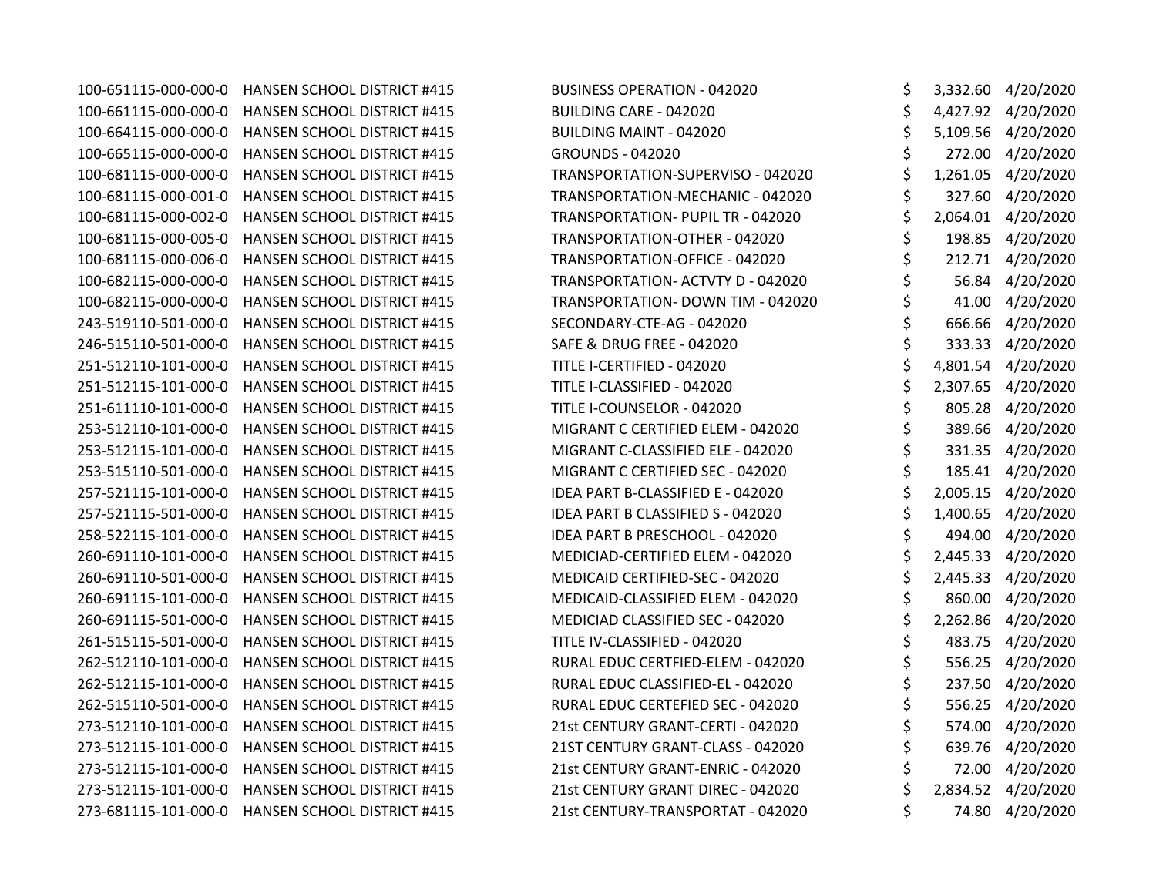100-651115-000-000-0 HANSEN SCHOOL DISTRICT #415 BUSINESS OPERATION - 042020 \$ 3,332.60 4/20/2020 100-661115-000-000-0 HANSEN SCHOOL DISTRICT #415 BUILDING CARE - 042020 \$ 4,427.92 4/20/2020 100-664115-000-000-0 HANSEN SCHOOL DISTRICT #415 BUILDING MAINT - 042020 \$ 5,109.56 4/20/2020 100-665115-000-000-0 HANSEN SCHOOL DISTRICT #415 GROUNDS - 042020 \$ 272.00 4/20/2020 100-681115-000-000-0 HANSEN SCHOOL DISTRICT #415 TRANSPORTATION-SUPERVISO - 042020 \$ 1,261.05 4/20/2020 100-681115-000-001-0 HANSEN SCHOOL DISTRICT #415 TRANSPORTATION-MECHANIC - 042020 \$ 327.60 4/20/2020 100-681115-000-002-0 HANSEN SCHOOL DISTRICT #415 TRANSPORTATION- PUPIL TR - 042020 \$ 2,064.01 4/20/2020 100-681115-000-005-0 HANSEN SCHOOL DISTRICT #415 TRANSPORTATION-OTHER - 042020 \$ 198.85 4/20/2020 100-681115-000-006-0 HANSEN SCHOOL DISTRICT #415 TRANSPORTATION-OFFICE - 042020 \$ 212.71 4/20/2020 100-682115-000-000-0 HANSEN SCHOOL DISTRICT #415 TRANSPORTATION- ACTVTY D - 042020 \$ 56.84 4/20/2020 100-682115-000-000-0 HANSEN SCHOOL DISTRICT #415 TRANSPORTATION- DOWN TIM - 042020 \$ 41.00 4/20/2020 243-519110-501-000-0 HANSEN SCHOOL DISTRICT #415 SECONDARY-CTE-AG - 042020 \$ 666.66 4/20/2020 246-515110-501-000-0 HANSEN SCHOOL DISTRICT #415 SAFE & DRUG FREE - 042020 \$ 333.33 4/20/2020 251-512110-101-000-0 HANSEN SCHOOL DISTRICT #415 TITLE I-CERTIFIED - 042020 \$ 4,801.54 4/20/2020 251-512115-101-000-0 HANSEN SCHOOL DISTRICT #415 TITLE I-CLASSIFIED - 042020 \$ 2,307.65 4/20/2020 251-611110-101-000-0 HANSEN SCHOOL DISTRICT #415 TITLE I-COUNSELOR - 042020 \$ 805.28 4/20/2020 253-512110-101-000-0 HANSEN SCHOOL DISTRICT #415 MIGRANT C CERTIFIED ELEM - 042020 \$ 389.66 4/20/2020 253-512115-101-000-0 HANSEN SCHOOL DISTRICT #415 MIGRANT C-CLASSIFIED ELE - 042020 \$ 331.35 4/20/2020 253-515110-501-000-0 HANSEN SCHOOL DISTRICT #415 MIGRANT C CERTIFIED SEC - 042020 \$ 185.41 4/20/2020 257-521115-101-000-0 HANSEN SCHOOL DISTRICT #415 IDEA PART B-CLASSIFIED E - 042020 \$ 2,005.15 4/20/2020 257-521115-501-000-0 HANSEN SCHOOL DISTRICT #415 IDEA PART B CLASSIFIED S - 042020 \$ 1,400.65 4/20/2020 258-522115-101-000-0 HANSEN SCHOOL DISTRICT #415 IDEA PART B PRESCHOOL - 042020 \$ 494.00 4/20/2020 260-691110-101-000-0 HANSEN SCHOOL DISTRICT #415 MEDICIAD-CERTIFIED ELEM - 042020 \$ 2,445.33 4/20/2020 260-691110-501-000-0 HANSEN SCHOOL DISTRICT #415 MEDICAID CERTIFIED-SEC - 042020 \$ 2,445.33 4/20/2020 260-691115-101-000-0 HANSEN SCHOOL DISTRICT #415 MEDICAID-CLASSIFIED ELEM - 042020 \$ 860.00 4/20/2020 260-691115-501-000-0 HANSEN SCHOOL DISTRICT #415 MEDICIAD CLASSIFIED SEC - 042020 \$ 2,262.86 4/20/2020 261-515115-501-000-0 HANSEN SCHOOL DISTRICT #415 TITLE IV-CLASSIFIED - 042020 \$ 483.75 4/20/2020 262-512110-101-000-0 HANSEN SCHOOL DISTRICT #415 RURAL EDUC CERTFIED-ELEM - 042020 \$ 556.25 4/20/2020 262-512115-101-000-0 HANSEN SCHOOL DISTRICT #415 RURAL EDUC CLASSIFIED-EL - 042020 \$ 237.50 4/20/2020 262-515110-501-000-0 HANSEN SCHOOL DISTRICT #415 RURAL EDUC CERTEFIED SEC - 042020 \$ 556.25 4/20/2020 273-512110-101-000-0 HANSEN SCHOOL DISTRICT #415 21st CENTURY GRANT-CERTI - 042020 \$ 574.00 4/20/2020 273-512115-101-000-0 HANSEN SCHOOL DISTRICT #415 21ST CENTURY GRANT-CLASS - 042020 \$ 639.76 4/20/2020 273-512115-101-000-0 HANSEN SCHOOL DISTRICT #415 21st CENTURY GRANT-ENRIC - 042020 \$ 72.00 4/20/2020 273-512115-101-000-0 HANSEN SCHOOL DISTRICT #415 21st CENTURY GRANT DIREC - 042020 \$ 2,834.52 4/20/2020 273-681115-101-000-0 HANSEN SCHOOL DISTRICT #415 21st CENTURY-TRANSPORTAT - 042020 \$ 74.80 4/20/2020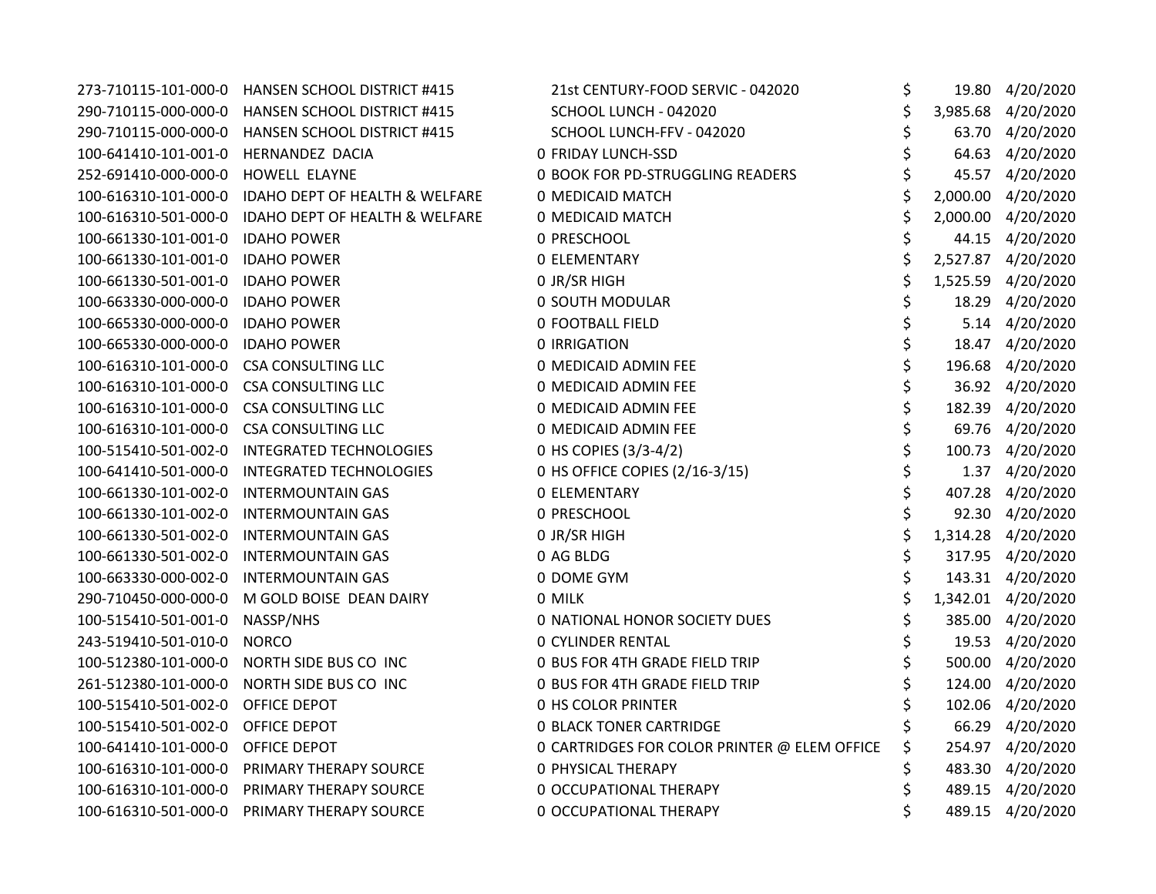| 273-710115-101-000-0 | HANSEN SCHOOL DISTRICT #415        | 21st CENTURY-FOOD SERVIC - 042020            | \$ | 19.80 4/20/2020    |
|----------------------|------------------------------------|----------------------------------------------|----|--------------------|
| 290-710115-000-000-0 | <b>HANSEN SCHOOL DISTRICT #415</b> | SCHOOL LUNCH - 042020                        | \$ | 3,985.68 4/20/2020 |
| 290-710115-000-000-0 | HANSEN SCHOOL DISTRICT #415        | SCHOOL LUNCH-FFV - 042020                    | \$ | 63.70 4/20/2020    |
| 100-641410-101-001-0 | HERNANDEZ DACIA                    | <b>0 FRIDAY LUNCH-SSD</b>                    | Ś  | 64.63 4/20/2020    |
| 252-691410-000-000-0 | HOWELL ELAYNE                      | 0 BOOK FOR PD-STRUGGLING READERS             |    | 45.57 4/20/2020    |
| 100-616310-101-000-0 | IDAHO DEPT OF HEALTH & WELFARE     | 0 MEDICAID MATCH                             |    | 2,000.00 4/20/2020 |
| 100-616310-501-000-0 | IDAHO DEPT OF HEALTH & WELFARE     | 0 MEDICAID MATCH                             |    | 2,000.00 4/20/2020 |
| 100-661330-101-001-0 | <b>IDAHO POWER</b>                 | 0 PRESCHOOL                                  | \$ | 44.15 4/20/2020    |
| 100-661330-101-001-0 | <b>IDAHO POWER</b>                 | <b>0 ELEMENTARY</b>                          |    | 2,527.87 4/20/2020 |
| 100-661330-501-001-0 | <b>IDAHO POWER</b>                 | O JR/SR HIGH                                 | \$ | 1,525.59 4/20/2020 |
| 100-663330-000-000-0 | <b>IDAHO POWER</b>                 | 0 SOUTH MODULAR                              |    | 18.29 4/20/2020    |
| 100-665330-000-000-0 | <b>IDAHO POWER</b>                 | <b>0 FOOTBALL FIELD</b>                      |    | 5.14 4/20/2020     |
| 100-665330-000-000-0 | <b>IDAHO POWER</b>                 | 0 IRRIGATION                                 |    | 18.47 4/20/2020    |
| 100-616310-101-000-0 | <b>CSA CONSULTING LLC</b>          | 0 MEDICAID ADMIN FEE                         |    | 196.68 4/20/2020   |
| 100-616310-101-000-0 | <b>CSA CONSULTING LLC</b>          | 0 MEDICAID ADMIN FEE                         |    | 36.92 4/20/2020    |
| 100-616310-101-000-0 | <b>CSA CONSULTING LLC</b>          | 0 MEDICAID ADMIN FEE                         |    | 182.39 4/20/2020   |
| 100-616310-101-000-0 | <b>CSA CONSULTING LLC</b>          | 0 MEDICAID ADMIN FEE                         | \$ | 69.76 4/20/2020    |
| 100-515410-501-002-0 | <b>INTEGRATED TECHNOLOGIES</b>     | 0 HS COPIES (3/3-4/2)                        | \$ | 100.73 4/20/2020   |
| 100-641410-501-000-0 | <b>INTEGRATED TECHNOLOGIES</b>     | 0 HS OFFICE COPIES (2/16-3/15)               | \$ | 1.37 4/20/2020     |
| 100-661330-101-002-0 | <b>INTERMOUNTAIN GAS</b>           | <b>0 ELEMENTARY</b>                          | \$ | 407.28 4/20/2020   |
| 100-661330-101-002-0 | <b>INTERMOUNTAIN GAS</b>           | 0 PRESCHOOL                                  | \$ | 92.30 4/20/2020    |
| 100-661330-501-002-0 | <b>INTERMOUNTAIN GAS</b>           | 0 JR/SR HIGH                                 |    | 1,314.28 4/20/2020 |
| 100-661330-501-002-0 | <b>INTERMOUNTAIN GAS</b>           | 0 AG BLDG                                    |    | 317.95 4/20/2020   |
| 100-663330-000-002-0 | <b>INTERMOUNTAIN GAS</b>           | 0 DOME GYM                                   |    | 143.31 4/20/2020   |
| 290-710450-000-000-0 | M GOLD BOISE DEAN DAIRY            | 0 MILK                                       | \$ | 1,342.01 4/20/2020 |
| 100-515410-501-001-0 | NASSP/NHS                          | 0 NATIONAL HONOR SOCIETY DUES                |    | 385.00 4/20/2020   |
| 243-519410-501-010-0 | <b>NORCO</b>                       | <b>0 CYLINDER RENTAL</b>                     |    | 19.53 4/20/2020    |
| 100-512380-101-000-0 | NORTH SIDE BUS CO INC              | 0 BUS FOR 4TH GRADE FIELD TRIP               |    | 500.00 4/20/2020   |
| 261-512380-101-000-0 | NORTH SIDE BUS CO INC              | 0 BUS FOR 4TH GRADE FIELD TRIP               |    | 124.00 4/20/2020   |
| 100-515410-501-002-0 | OFFICE DEPOT                       | <b>0 HS COLOR PRINTER</b>                    |    | 102.06 4/20/2020   |
| 100-515410-501-002-0 | OFFICE DEPOT                       | <b>0 BLACK TONER CARTRIDGE</b>               |    | 66.29 4/20/2020    |
| 100-641410-101-000-0 | OFFICE DEPOT                       | 0 CARTRIDGES FOR COLOR PRINTER @ ELEM OFFICE | \$ | 254.97 4/20/2020   |
| 100-616310-101-000-0 | PRIMARY THERAPY SOURCE             | <b>0 PHYSICAL THERAPY</b>                    | \$ | 483.30 4/20/2020   |
| 100-616310-101-000-0 | PRIMARY THERAPY SOURCE             | 0 OCCUPATIONAL THERAPY                       |    | 489.15 4/20/2020   |
| 100-616310-501-000-0 | PRIMARY THERAPY SOURCE             | 0 OCCUPATIONAL THERAPY                       | \$ | 489.15 4/20/2020   |
|                      |                                    |                                              |    |                    |